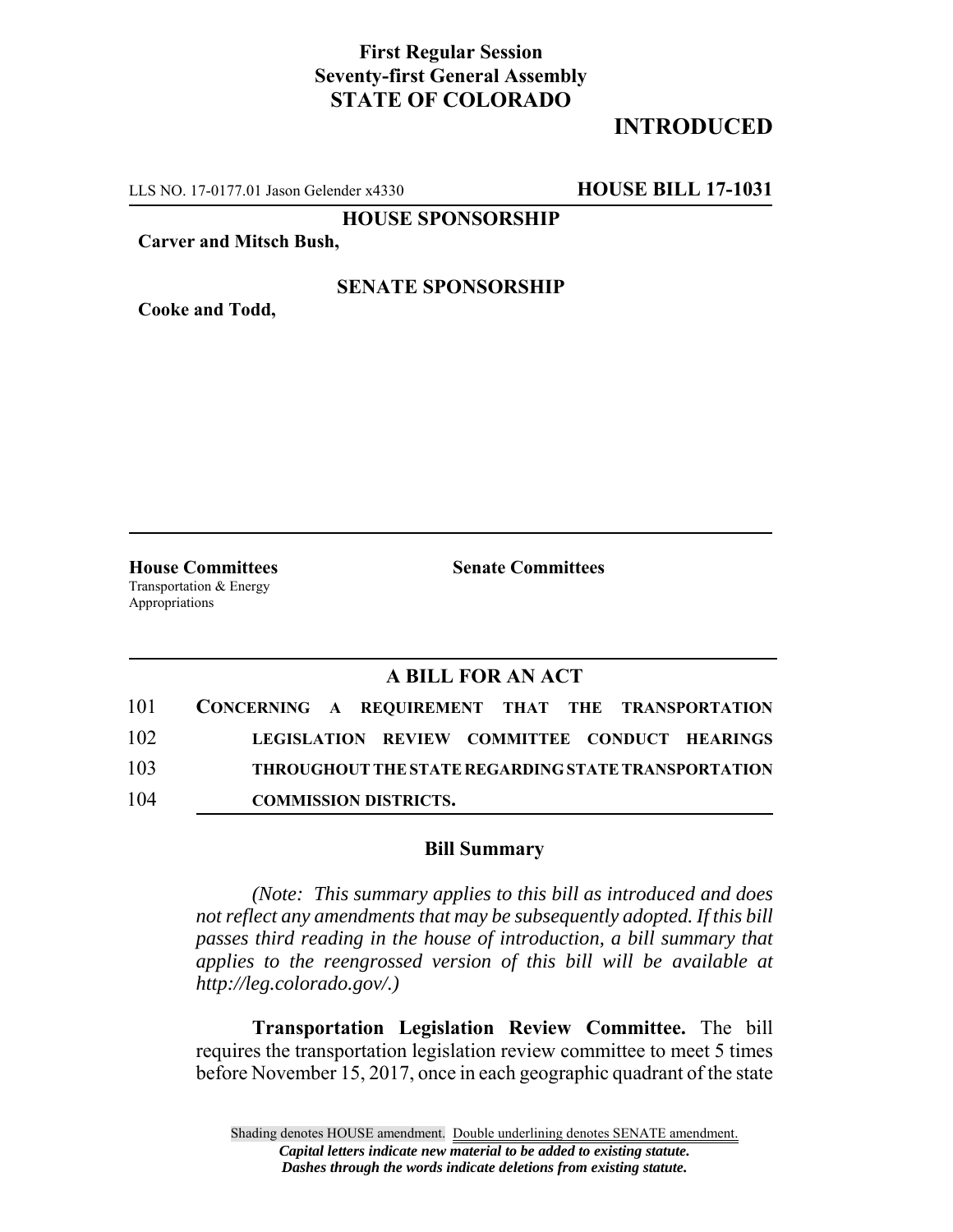## **First Regular Session Seventy-first General Assembly STATE OF COLORADO**

# **INTRODUCED**

LLS NO. 17-0177.01 Jason Gelender x4330 **HOUSE BILL 17-1031**

**HOUSE SPONSORSHIP**

**Carver and Mitsch Bush,**

### **SENATE SPONSORSHIP**

**Cooke and Todd,**

**House Committees Senate Committees** Transportation & Energy Appropriations

### **A BILL FOR AN ACT**

| 101 | CONCERNING A REQUIREMENT THAT THE TRANSPORTATION |                                                     |  |  |
|-----|--------------------------------------------------|-----------------------------------------------------|--|--|
| 102 |                                                  | LEGISLATION REVIEW COMMITTEE CONDUCT HEARINGS       |  |  |
| 103 |                                                  | THROUGHOUT THE STATE REGARDING STATE TRANSPORTATION |  |  |
| 104 |                                                  | <b>COMMISSION DISTRICTS.</b>                        |  |  |

#### **Bill Summary**

*(Note: This summary applies to this bill as introduced and does not reflect any amendments that may be subsequently adopted. If this bill passes third reading in the house of introduction, a bill summary that applies to the reengrossed version of this bill will be available at http://leg.colorado.gov/.)*

**Transportation Legislation Review Committee.** The bill requires the transportation legislation review committee to meet 5 times before November 15, 2017, once in each geographic quadrant of the state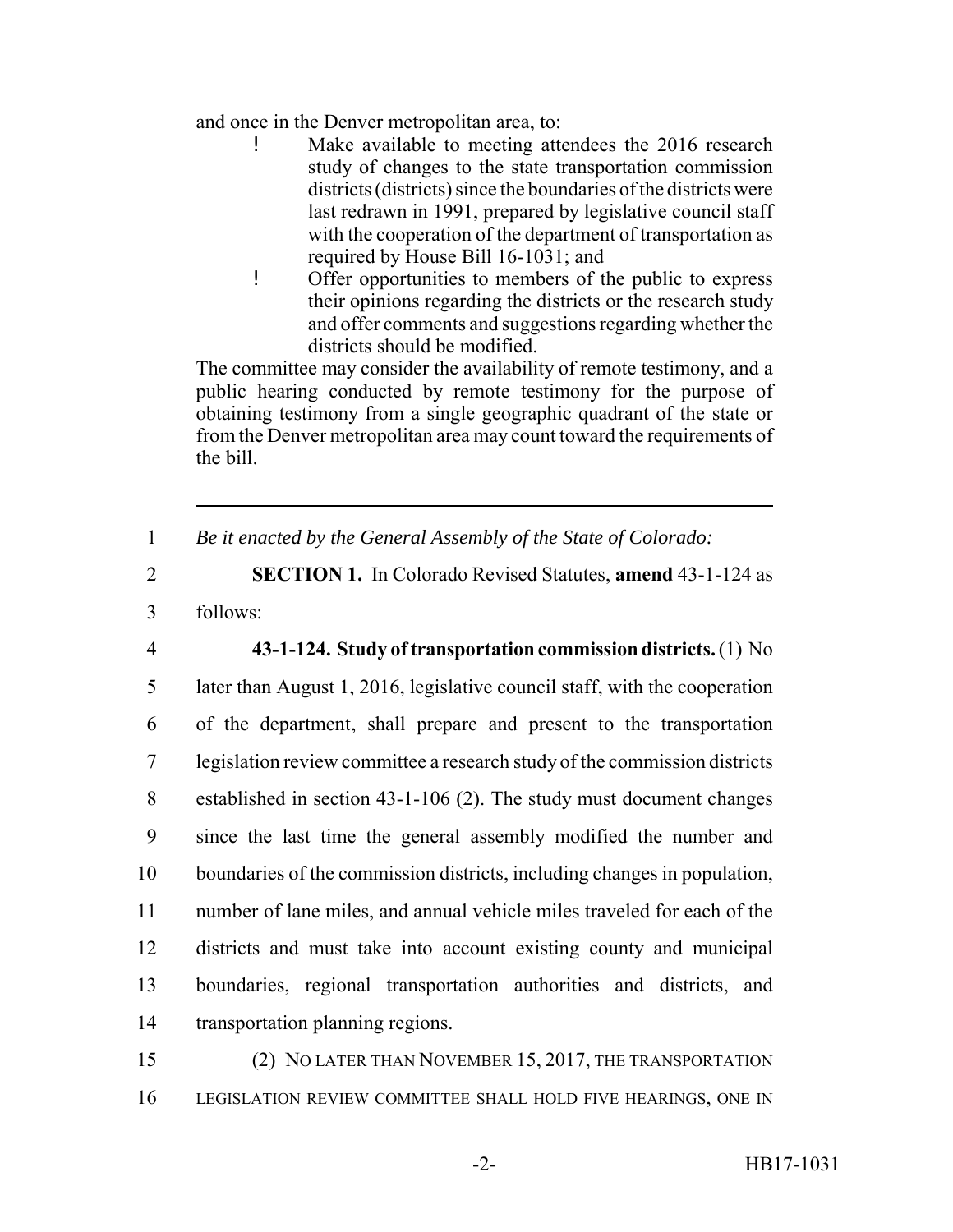and once in the Denver metropolitan area, to:

- Make available to meeting attendees the 2016 research study of changes to the state transportation commission districts (districts) since the boundaries of the districts were last redrawn in 1991, prepared by legislative council staff with the cooperation of the department of transportation as required by House Bill 16-1031; and
- ! Offer opportunities to members of the public to express their opinions regarding the districts or the research study and offer comments and suggestions regarding whether the districts should be modified.

The committee may consider the availability of remote testimony, and a public hearing conducted by remote testimony for the purpose of obtaining testimony from a single geographic quadrant of the state or from the Denver metropolitan area may count toward the requirements of the bill.

1 *Be it enacted by the General Assembly of the State of Colorado:*

2 **SECTION 1.** In Colorado Revised Statutes, **amend** 43-1-124 as 3 follows:

 **43-1-124. Study of transportation commission districts.** (1) No later than August 1, 2016, legislative council staff, with the cooperation of the department, shall prepare and present to the transportation legislation review committee a research study of the commission districts established in section 43-1-106 (2). The study must document changes since the last time the general assembly modified the number and boundaries of the commission districts, including changes in population, number of lane miles, and annual vehicle miles traveled for each of the districts and must take into account existing county and municipal boundaries, regional transportation authorities and districts, and transportation planning regions.

15 (2) NO LATER THAN NOVEMBER 15, 2017, THE TRANSPORTATION 16 LEGISLATION REVIEW COMMITTEE SHALL HOLD FIVE HEARINGS, ONE IN